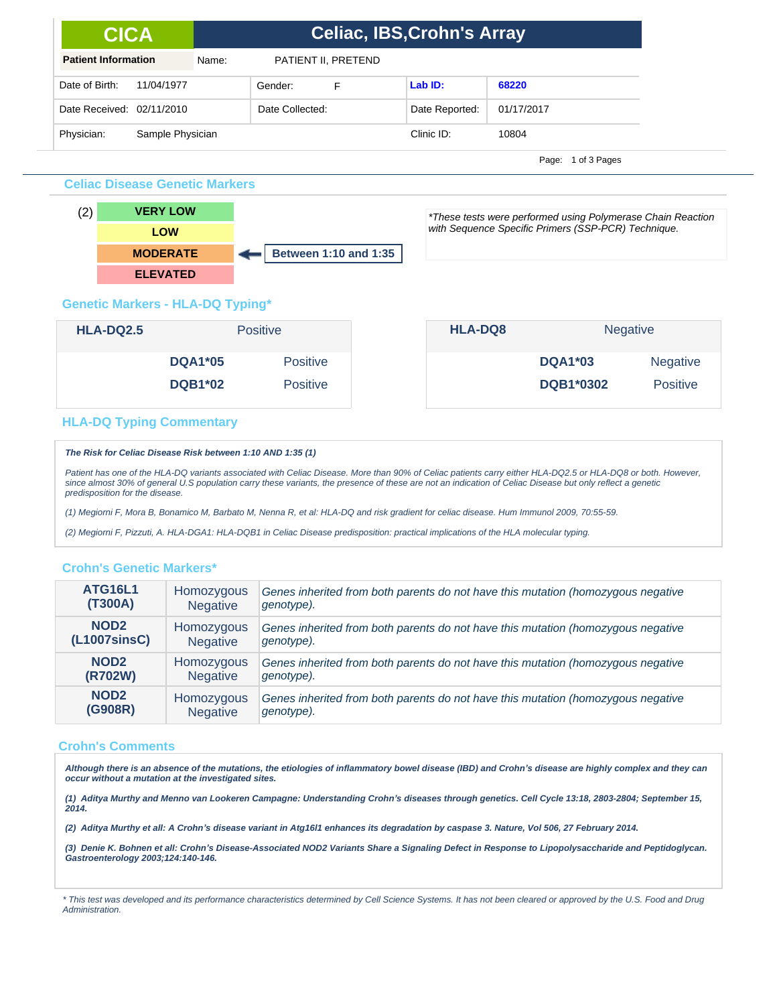| <b>CICA</b>                |                  | <b>Celiac, IBS, Crohn's Array</b> |                |            |  |  |  |  |
|----------------------------|------------------|-----------------------------------|----------------|------------|--|--|--|--|
| <b>Patient Information</b> | Name:            | PATIENT II, PRETEND               |                |            |  |  |  |  |
| Date of Birth:             | 11/04/1977       | Gender:<br>F                      | LabID:         | 68220      |  |  |  |  |
| Date Received: 02/11/2010  |                  | Date Collected:                   | Date Reported: | 01/17/2017 |  |  |  |  |
| Physician:                 | Sample Physician |                                   | Clinic ID:     | 10804      |  |  |  |  |

Page: 1 of 3 Pages

#### **Celiac Disease Genetic Markers**



\*These tests were performed using Polymerase Chain Reaction with Sequence Specific Primers (SSP-PCR) Technique.

## **Genetic Markers - HLA-DQ Typing\***

| <b>HLA-DQ2.5</b> |                | <b>Positive</b> |  | <b>HLA-DQ8</b> | <b>Negative</b>  |                 |
|------------------|----------------|-----------------|--|----------------|------------------|-----------------|
|                  | <b>DQA1*05</b> | <b>Positive</b> |  |                | <b>DQA1*03</b>   | <b>Negative</b> |
|                  | <b>DQB1*02</b> | <b>Positive</b> |  |                | <b>DQB1*0302</b> | <b>Positive</b> |

### **HLA-DQ Typing Commentary**

#### **The Risk for Celiac Disease Risk between 1:10 AND 1:35 (1)**

Patient has one of the HLA-DQ variants associated with Celiac Disease. More than 90% of Celiac patients carry either HLA-DQ2.5 or HLA-DQ8 or both. However, since almost 30% of general U.S population carry these variants, the presence of these are not an indication of Celiac Disease but only reflect a genetic predisposition for the disease.

(1) Megiorni F, Mora B, Bonamico M, Barbato M, Nenna R, et al: HLA-DQ and risk gradient for celiac disease. Hum Immunol 2009, 70:55-59.

(2) Megiorni F, Pizzuti, A. HLA-DGA1: HLA-DQB1 in Celiac Disease predisposition: practical implications of the HLA molecular typing.

### **Crohn's Genetic Markers\***

| <b>ATG16L1</b>   | Homozygous      | Genes inherited from both parents do not have this mutation (homozygous negative |
|------------------|-----------------|----------------------------------------------------------------------------------|
| (T300A)          | <b>Negative</b> | genotype).                                                                       |
| NOD <sub>2</sub> | Homozygous      | Genes inherited from both parents do not have this mutation (homozygous negative |
| (L1007sinsC)     | <b>Negative</b> | genotype).                                                                       |
| NOD <sub>2</sub> | Homozygous      | Genes inherited from both parents do not have this mutation (homozygous negative |
| (R702W)          | <b>Negative</b> | genotype).                                                                       |
| NOD <sub>2</sub> | Homozygous      | Genes inherited from both parents do not have this mutation (homozygous negative |
| (G908R)          | <b>Negative</b> | genotype).                                                                       |

### **Crohn's Comments**

Although there is an absence of the mutations, the etiologies of inflammatory bowel disease (IBD) and Crohn's disease are highly complex and they can<br>occur without a mutation at the investigated sites.

**(1) Aditya Murthy and Menno van Lookeren Campagne: Understanding Crohn***¶***s diseases through genetics. Cell Cycle 13:18, 2803-2804; September 15, 2014.**

**(2) Aditya Murthy et all: A Crohn***¶***s disease variant in Atg16l1 enhances its degradation by caspase 3. Nature, Vol 506, 27 February 2014.**

**(3) Denie K. Bohnen et all: Crohn***¶***s Disease-Associated NOD2 Variants Share a Signaling Defect in Response to Lipopolysaccharide and Peptidoglycan. Gastroenterology 2003;124:140-146.** 

\* This test was developed and its performance characteristics determined by Cell Science Systems. It has not been cleared or approved by the U.S. Food and Drug **Administration**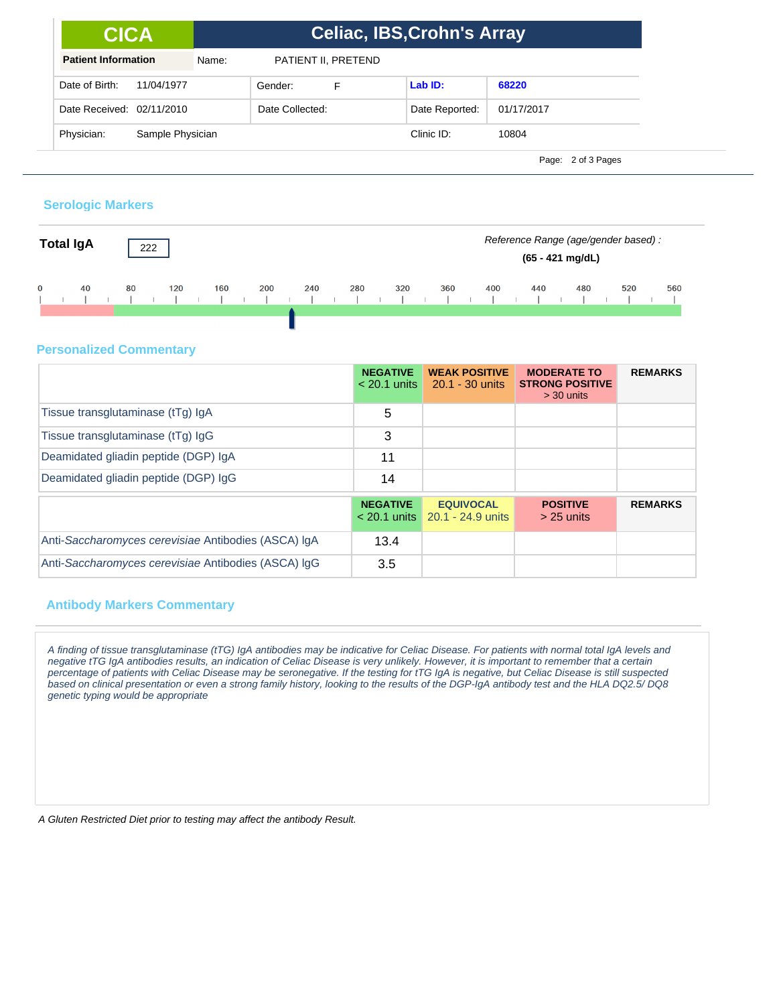| <b>CICA</b>                    | <b>Celiac, IBS, Crohn's Array</b> |                     |                |            |  |  |  |
|--------------------------------|-----------------------------------|---------------------|----------------|------------|--|--|--|
| <b>Patient Information</b>     | Name:                             | PATIENT II, PRETEND |                |            |  |  |  |
| Date of Birth:<br>11/04/1977   |                                   | Gender:<br>F        | Lab ID:        | 68220      |  |  |  |
| Date Received: 02/11/2010      |                                   |                     | Date Reported: | 01/17/2017 |  |  |  |
| Physician:<br>Sample Physician |                                   |                     | Clinic ID:     | 10804      |  |  |  |

Page: 2 of 3 Pages

### **Serologic Markers**



## **Personalized Commentary**

|                                                     | <b>NEGATIVE</b><br>$< 20.1$ units | <b>WEAK POSITIVE</b><br>$20.1 - 30$ units      | <b>MODERATE TO</b><br><b>STRONG POSITIVE</b><br>$>$ 30 units | <b>REMARKS</b> |
|-----------------------------------------------------|-----------------------------------|------------------------------------------------|--------------------------------------------------------------|----------------|
| Tissue transglutaminase (tTg) IgA                   | 5                                 |                                                |                                                              |                |
| Tissue transglutaminase (tTg) IgG                   | 3                                 |                                                |                                                              |                |
| Deamidated gliadin peptide (DGP) IgA                | 11                                |                                                |                                                              |                |
| Deamidated gliadin peptide (DGP) IgG                | 14                                |                                                |                                                              |                |
|                                                     | <b>NEGATIVE</b><br>$<$ 20.1 units | <b>EQUIVOCAL</b><br>$\sqrt{20.1}$ - 24.9 units | <b>POSITIVE</b><br>$>$ 25 units                              | <b>REMARKS</b> |
| Anti-Saccharomyces cerevisiae Antibodies (ASCA) IgA | 13.4                              |                                                |                                                              |                |
| Anti-Saccharomyces cerevisiae Antibodies (ASCA) IqG | 3.5                               |                                                |                                                              |                |

## **Antibody Markers Commentary**

A finding of tissue transglutaminase (tTG) IgA antibodies may be indicative for Celiac Disease. For patients with normal total IgA levels and negative tTG IgA antibodies results, an indication of Celiac Disease is very unlikely. However, it is important to remember that a certain percentage of patients with Celiac Disease may be seronegative. If the testing for tTG IgA is negative, but Celiac Disease is still suspected based on clinical presentation or even a strong family history, looking to the results of the DGP-IgA antibody test and the HLA DQ2.5/ DQ8 genetic typing would be appropriate

A Gluten Restricted Diet prior to testing may affect the antibody Result.